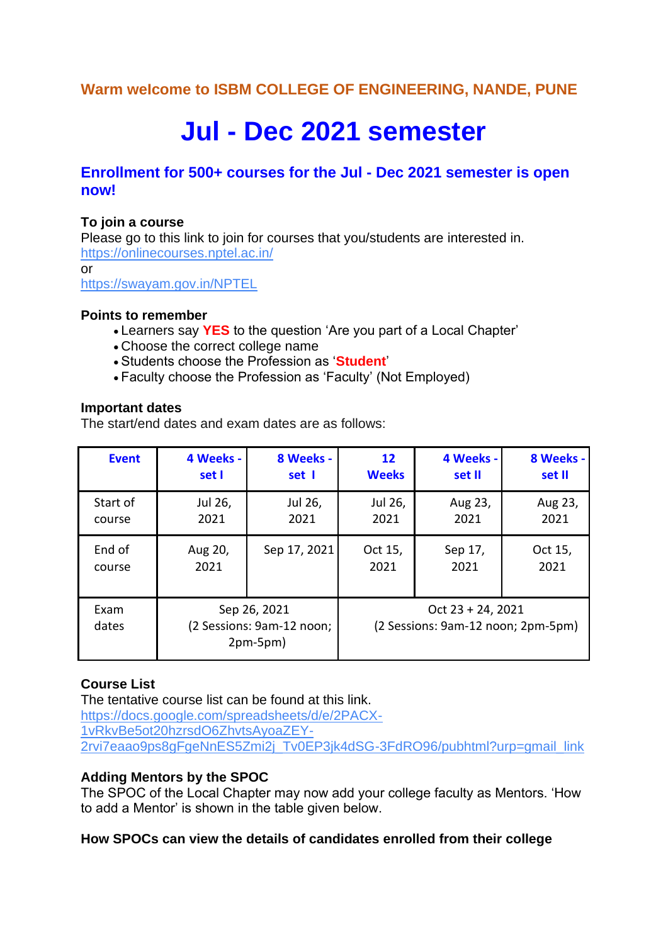## **Warm weIcome to ISBM COLLEGE OF ENGINEERING, NANDE, PUNE**

# **Jul - Dec 2021 semester**

### **Enrollment for 500+ courses for the Jul - Dec 2021 semester is open now!**

#### **To join a course**

Please go to this link to join for courses that you/students are interested in. <https://onlinecourses.nptel.ac.in/>

or

<https://swayam.gov.in/NPTEL>

#### **Points to remember**

- Learners say **YES** to the question 'Are you part of a Local Chapter'
- Choose the correct college name
- Students choose the Profession as '**Student**'
- Faculty choose the Profession as 'Faculty' (Not Employed)

#### **Important dates**

The start/end dates and exam dates are as follows:

| <b>Event</b>  | 4 Weeks -                                               | 8 Weeks -    | $12 \overline{ }$                                          | 4 Weeks - | 8 Weeks - |
|---------------|---------------------------------------------------------|--------------|------------------------------------------------------------|-----------|-----------|
|               | set I                                                   | set I        | <b>Weeks</b>                                               | set II    | set II    |
| Start of      | Jul 26,                                                 | Jul 26,      | Jul 26,                                                    | Aug 23,   | Aug 23,   |
| course        | 2021                                                    | 2021         | 2021                                                       | 2021      | 2021      |
| End of        | Aug 20,                                                 | Sep 17, 2021 | Oct 15,                                                    | Sep 17,   | Oct 15,   |
| course        | 2021                                                    |              | 2021                                                       | 2021      | 2021      |
| Exam<br>dates | Sep 26, 2021<br>(2 Sessions: 9am-12 noon;<br>$2pm-5pm)$ |              | Oct $23 + 24$ , 2021<br>(2 Sessions: 9am-12 noon; 2pm-5pm) |           |           |

#### **Course List**

The tentative course list can be found at this link. [https://docs.google.com/spreadsheets/d/e/2PACX-](https://docs.google.com/spreadsheets/d/e/2PACX-1vRkvBe5ot20hzrsdO6ZhvtsAyoaZEY-2rvi7eaao9ps8gFgeNnES5Zmi2j_Tv0EP3jk4dSG-3FdRO96/pubhtml?urp=gmail_link)[1vRkvBe5ot20hzrsdO6ZhvtsAyoaZEY-](https://docs.google.com/spreadsheets/d/e/2PACX-1vRkvBe5ot20hzrsdO6ZhvtsAyoaZEY-2rvi7eaao9ps8gFgeNnES5Zmi2j_Tv0EP3jk4dSG-3FdRO96/pubhtml?urp=gmail_link)[2rvi7eaao9ps8gFgeNnES5Zmi2j\\_Tv0EP3jk4dSG-3FdRO96/pubhtml?urp=gmail\\_link](https://docs.google.com/spreadsheets/d/e/2PACX-1vRkvBe5ot20hzrsdO6ZhvtsAyoaZEY-2rvi7eaao9ps8gFgeNnES5Zmi2j_Tv0EP3jk4dSG-3FdRO96/pubhtml?urp=gmail_link)

#### **Adding Mentors by the SPOC**

The SPOC of the Local Chapter may now add your college faculty as Mentors. 'How to add a Mentor' is shown in the table given below.

#### **How SPOCs can view the details of candidates enrolled from their college**